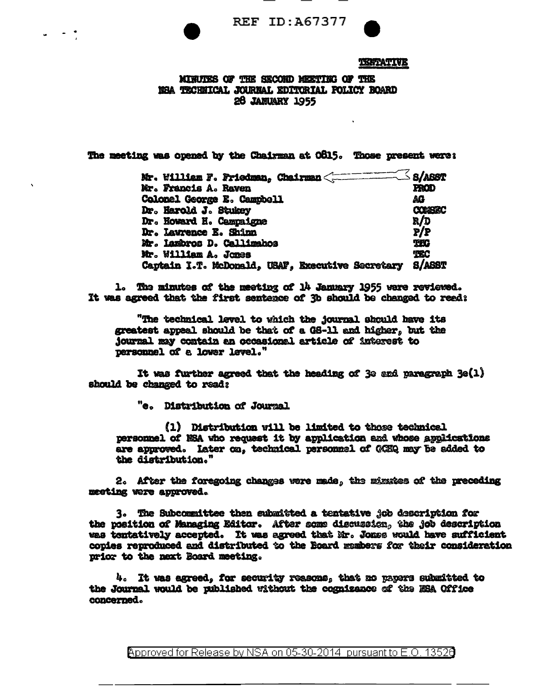

## TERTATIVE

MINUTES OF THE SECOND MEETING OF THE NEA TECHNICAL JOURNAL EDITORIAL FOLICY BOARD **28 JANUARY 1955** 

The meeting was opened by the Chairman at O815. Those present were:

| Mr. William F. Friedman, Chairman <========      | ≤ s/asst       |
|--------------------------------------------------|----------------|
| Mr. Francis A. Raven                             | <b>FROD</b>    |
| Colonel George E. Campbell                       | AG             |
| Dr. Harold J. Stukey                             | <b>CONSERC</b> |
| Dr. Howard H. Campaigne                          | R/D            |
| Dr. Lawrence E. Shinn                            | P/P            |
| Mr. Iambros D. Callimahos                        | <b>THO</b>     |
| Mr. William A. Jones                             | TEC            |
| Captain I.T. McDonald, USAF, Executive Secretary | <b>S/ASST</b>  |

1. The minutes of the meeting of 14 January 1955 were reviewed. It was agreed that the first sentence of 3b should be changed to reed:

"The technical level to which the journal should have its greatest appeal should be that of a GS-11 and higher, but the journal may contain an occasional article of interest to personnel of a lower level."

It was further agreed that the heading of 3e and paragraph 3e(1) should be changed to read:

"e. Distribution of Journal

(1) Distribution will be limited to those technical personnel of NSA who request it by application and whose applications are approved. Later on, technical personnel of GCEQ may be added to the distribution."

2. After the foregoing changes were made, the mimates of the preceding meeting were approved.

3. The Subcommittee then submitted a tentative job description for the position of Managing Editor. After some discussion, the job description was tentatively accepted. It was agreed that Mr. Jones would have sufficient copies reproduced and distributed to the Board members for their consideration prior to the next Board meeting.

4. It was agreed, for security reasons, that no papers submitted to the Journal would be uublished without the cognizance of the ESA Office concerned.

Approved for Release by NSA on 05-30-2014 pursuant to E.O. 13526